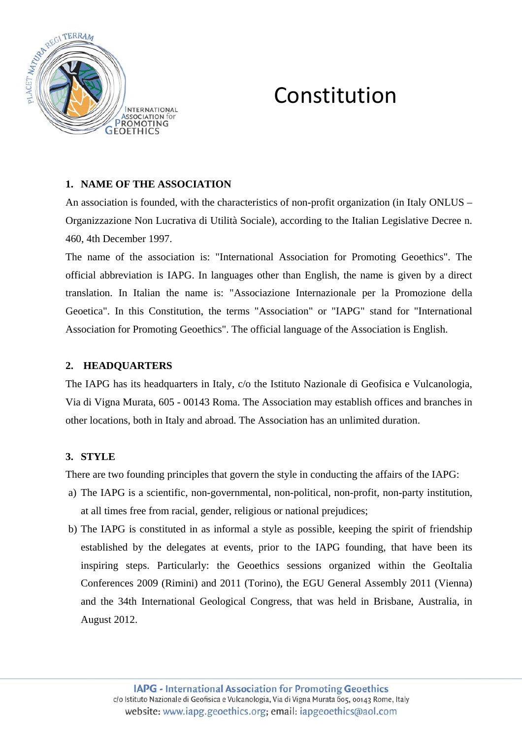

# Constitution

## **1. NAME OF THE ASSOCIATION**

An association is founded, with the characteristics of non-profit organization (in Italy ONLUS – Organizzazione Non Lucrativa di Utilità Sociale), according to the Italian Legislative Decree n. 460, 4th December 1997.

The name of the association is: "International Association for Promoting Geoethics". The official abbreviation is IAPG. In languages other than English, the name is given by a direct translation. In Italian the name is: "Associazione Internazionale per la Promozione della Geoetica". In this Constitution, the terms "Association" or "IAPG" stand for "International Association for Promoting Geoethics". The official language of the Association is English.

#### **2. HEADQUARTERS**

The IAPG has its headquarters in Italy, c/o the Istituto Nazionale di Geofisica e Vulcanologia, Via di Vigna Murata, 605 - 00143 Roma. The Association may establish offices and branches in other locations, both in Italy and abroad. The Association has an unlimited duration.

# **3. STYLE**

There are two founding principles that govern the style in conducting the affairs of the IAPG:

- a) The IAPG is a scientific, non-governmental, non-political, non-profit, non-party institution, at all times free from racial, gender, religious or national prejudices;
- b) The IAPG is constituted in as informal a style as possible, keeping the spirit of friendship established by the delegates at events, prior to the IAPG founding, that have been its inspiring steps. Particularly: the Geoethics sessions organized within the GeoItalia Conferences 2009 (Rimini) and 2011 (Torino), the EGU General Assembly 2011 (Vienna) and the 34th International Geological Congress, that was held in Brisbane, Australia, in August 2012.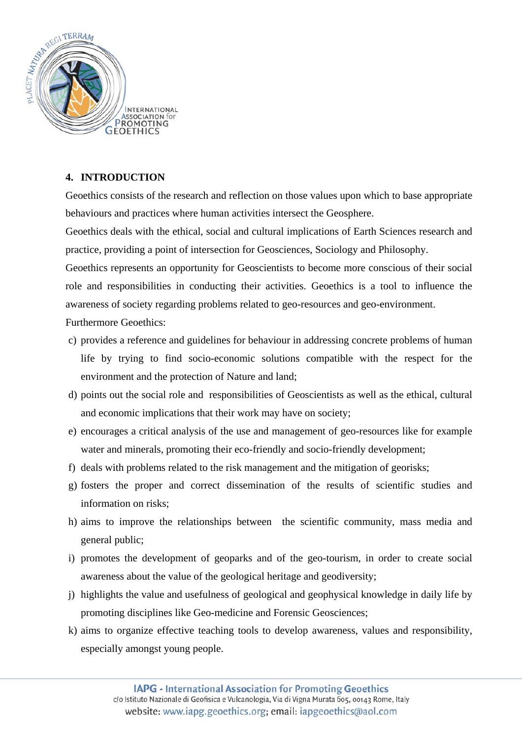

# **4. INTRODUCTION**

Geoethics consists of the research and reflection on those values upon which to base appropriate behaviours and practices where human activities intersect the Geosphere.

Geoethics deals with the ethical, social and cultural implications of Earth Sciences research and practice, providing a point of intersection for Geosciences, Sociology and Philosophy.

Geoethics represents an opportunity for Geoscientists to become more conscious of their social role and responsibilities in conducting their activities. Geoethics is a tool to influence the awareness of society regarding problems related to geo-resources and geo-environment. Furthermore Geoethics:

- c) provides a reference and guidelines for behaviour in addressing concrete problems of human life by trying to find socio-economic solutions compatible with the respect for the environment and the protection of Nature and land;
- d) points out the social role and responsibilities of Geoscientists as well as the ethical, cultural and economic implications that their work may have on society;
- e) encourages a critical analysis of the use and management of geo-resources like for example water and minerals, promoting their eco-friendly and socio-friendly development;
- f) deals with problems related to the risk management and the mitigation of georisks;
- g) fosters the proper and correct dissemination of the results of scientific studies and information on risks;
- h) aims to improve the relationships between the scientific community, mass media and general public;
- i) promotes the development of geoparks and of the geo-tourism, in order to create social awareness about the value of the geological heritage and geodiversity;
- j) highlights the value and usefulness of geological and geophysical knowledge in daily life by promoting disciplines like Geo-medicine and Forensic Geosciences;
- k) aims to organize effective teaching tools to develop awareness, values and responsibility, especially amongst young people.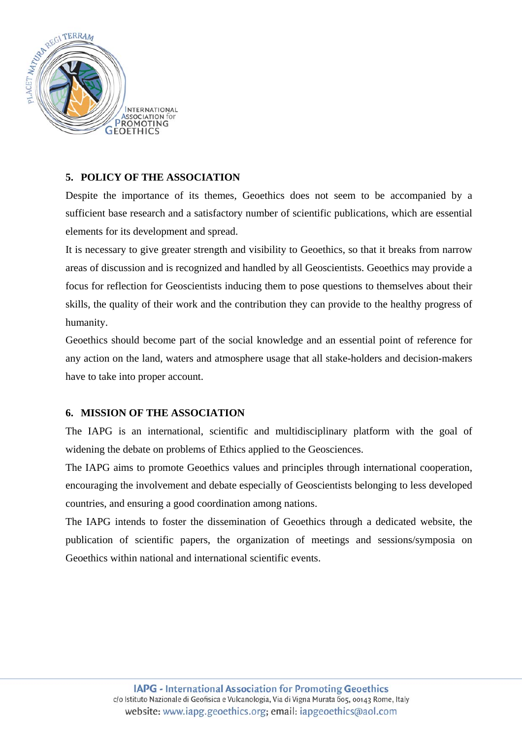

# **5. POLICY OF THE ASSOCIATION**

Despite the importance of its themes, Geoethics does not seem to be accompanied by a sufficient base research and a satisfactory number of scientific publications, which are essential elements for its development and spread.

It is necessary to give greater strength and visibility to Geoethics, so that it breaks from narrow areas of discussion and is recognized and handled by all Geoscientists. Geoethics may provide a focus for reflection for Geoscientists inducing them to pose questions to themselves about their skills, the quality of their work and the contribution they can provide to the healthy progress of humanity.

Geoethics should become part of the social knowledge and an essential point of reference for any action on the land, waters and atmosphere usage that all stake-holders and decision-makers have to take into proper account.

#### **6. MISSION OF THE ASSOCIATION**

The IAPG is an international, scientific and multidisciplinary platform with the goal of widening the debate on problems of Ethics applied to the Geosciences.

The IAPG aims to promote Geoethics values and principles through international cooperation, encouraging the involvement and debate especially of Geoscientists belonging to less developed countries, and ensuring a good coordination among nations.

The IAPG intends to foster the dissemination of Geoethics through a dedicated website, the publication of scientific papers, the organization of meetings and sessions/symposia on Geoethics within national and international scientific events.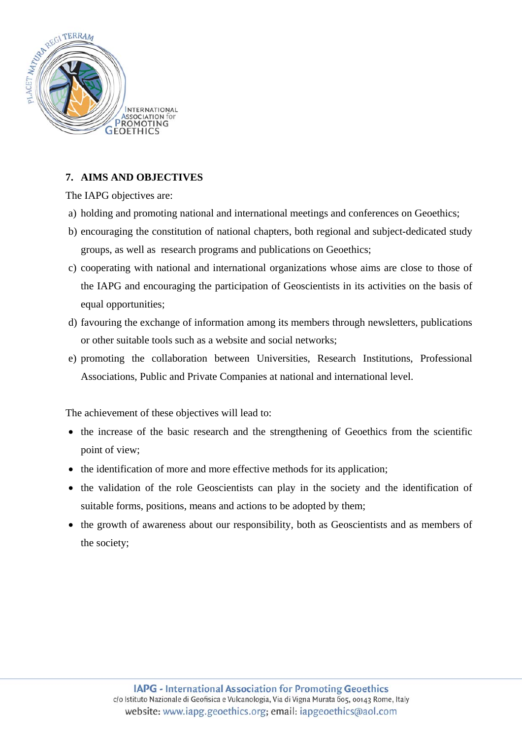

# **7. AIMS AND OBJECTIVES**

The IAPG objectives are:

- a) holding and promoting national and international meetings and conferences on Geoethics;
- b) encouraging the constitution of national chapters, both regional and subject-dedicated study groups, as well as research programs and publications on Geoethics;
- c) cooperating with national and international organizations whose aims are close to those of the IAPG and encouraging the participation of Geoscientists in its activities on the basis of equal opportunities;
- d) favouring the exchange of information among its members through newsletters, publications or other suitable tools such as a website and social networks;
- e) promoting the collaboration between Universities, Research Institutions, Professional Associations, Public and Private Companies at national and international level.

The achievement of these objectives will lead to:

- the increase of the basic research and the strengthening of Geoethics from the scientific point of view;
- the identification of more and more effective methods for its application;
- the validation of the role Geoscientists can play in the society and the identification of suitable forms, positions, means and actions to be adopted by them;
- the growth of awareness about our responsibility, both as Geoscientists and as members of the society;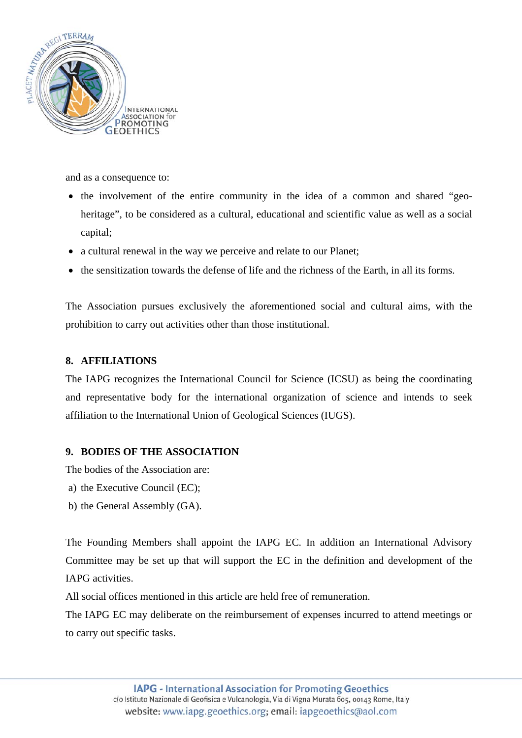

and as a consequence to:

- the involvement of the entire community in the idea of a common and shared "geoheritage", to be considered as a cultural, educational and scientific value as well as a social capital;
- a cultural renewal in the way we perceive and relate to our Planet;
- the sensitization towards the defense of life and the richness of the Earth, in all its forms.

The Association pursues exclusively the aforementioned social and cultural aims, with the prohibition to carry out activities other than those institutional.

#### **8. AFFILIATIONS**

The IAPG recognizes the International Council for Science (ICSU) as being the coordinating and representative body for the international organization of science and intends to seek affiliation to the International Union of Geological Sciences (IUGS).

#### **9. BODIES OF THE ASSOCIATION**

The bodies of the Association are:

- a) the Executive Council (EC);
- b) the General Assembly (GA).

The Founding Members shall appoint the IAPG EC. In addition an International Advisory Committee may be set up that will support the EC in the definition and development of the IAPG activities.

All social offices mentioned in this article are held free of remuneration.

The IAPG EC may deliberate on the reimbursement of expenses incurred to attend meetings or to carry out specific tasks.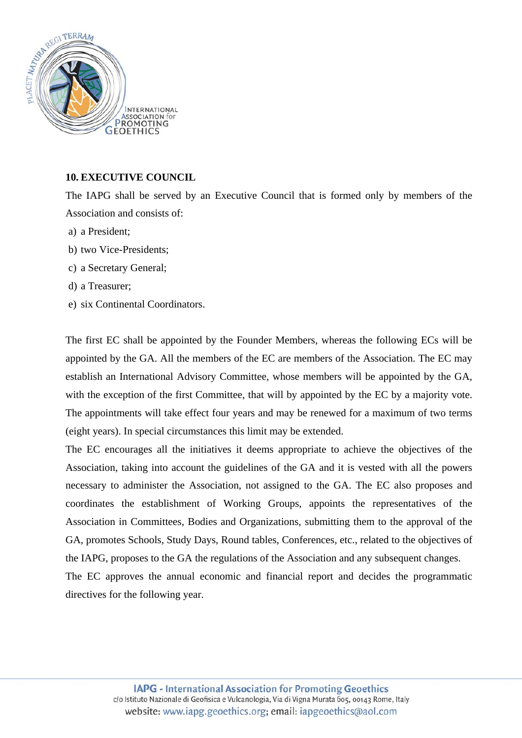

#### **10. EXECUTIVE COUNCIL**

The IAPG shall be served by an Executive Council that is formed only by members of the Association and consists of:

- a) a President;
- b) two Vice-Presidents;
- c) a Secretary General;
- d) a Treasurer;
- e) six Continental Coordinators.

The first EC shall be appointed by the Founder Members, whereas the following ECs will be appointed by the GA. All the members of the EC are members of the Association. The EC may establish an International Advisory Committee, whose members will be appointed by the GA, with the exception of the first Committee, that will by appointed by the EC by a majority vote. The appointments will take effect four years and may be renewed for a maximum of two terms (eight years). In special circumstances this limit may be extended.

The EC encourages all the initiatives it deems appropriate to achieve the objectives of the Association, taking into account the guidelines of the GA and it is vested with all the powers necessary to administer the Association, not assigned to the GA. The EC also proposes and coordinates the establishment of Working Groups, appoints the representatives of the Association in Committees, Bodies and Organizations, submitting them to the approval of the GA, promotes Schools, Study Days, Round tables, Conferences, etc., related to the objectives of the IAPG, proposes to the GA the regulations of the Association and any subsequent changes.

The EC approves the annual economic and financial report and decides the programmatic directives for the following year.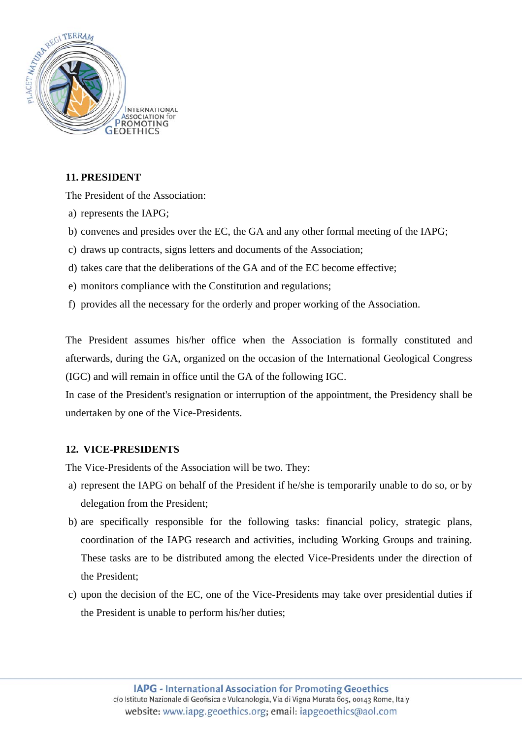

# **11. PRESIDENT**

The President of the Association:

- a) represents the IAPG;
- b) convenes and presides over the EC, the GA and any other formal meeting of the IAPG;
- c) draws up contracts, signs letters and documents of the Association;
- d) takes care that the deliberations of the GA and of the EC become effective;
- e) monitors compliance with the Constitution and regulations;
- f) provides all the necessary for the orderly and proper working of the Association.

The President assumes his/her office when the Association is formally constituted and afterwards, during the GA, organized on the occasion of the International Geological Congress (IGC) and will remain in office until the GA of the following IGC.

In case of the President's resignation or interruption of the appointment, the Presidency shall be undertaken by one of the Vice-Presidents.

#### **12. VICE-PRESIDENTS**

The Vice-Presidents of the Association will be two. They:

- a) represent the IAPG on behalf of the President if he/she is temporarily unable to do so, or by delegation from the President;
- b) are specifically responsible for the following tasks: financial policy, strategic plans, coordination of the IAPG research and activities, including Working Groups and training. These tasks are to be distributed among the elected Vice-Presidents under the direction of the President;
- c) upon the decision of the EC, one of the Vice-Presidents may take over presidential duties if the President is unable to perform his/her duties;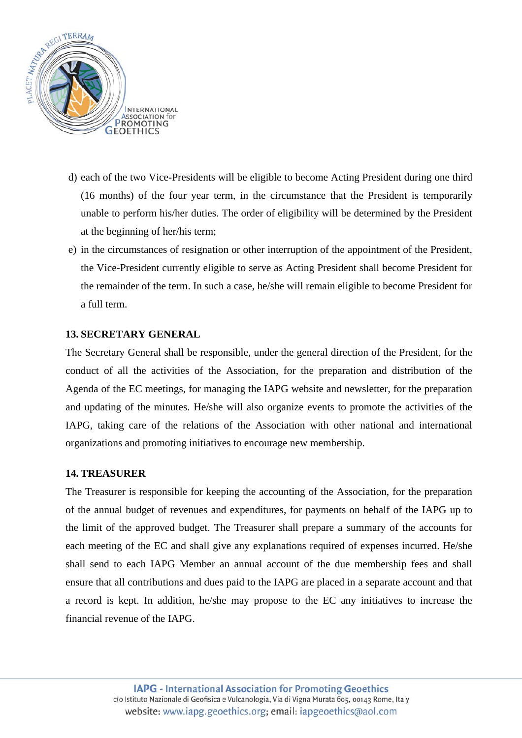

- d) each of the two Vice-Presidents will be eligible to become Acting President during one third (16 months) of the four year term, in the circumstance that the President is temporarily unable to perform his/her duties. The order of eligibility will be determined by the President at the beginning of her/his term;
- e) in the circumstances of resignation or other interruption of the appointment of the President, the Vice-President currently eligible to serve as Acting President shall become President for the remainder of the term. In such a case, he/she will remain eligible to become President for a full term.

#### **13. SECRETARY GENERAL**

The Secretary General shall be responsible, under the general direction of the President, for the conduct of all the activities of the Association, for the preparation and distribution of the Agenda of the EC meetings, for managing the IAPG website and newsletter, for the preparation and updating of the minutes. He/she will also organize events to promote the activities of the IAPG, taking care of the relations of the Association with other national and international organizations and promoting initiatives to encourage new membership.

#### **14. TREASURER**

The Treasurer is responsible for keeping the accounting of the Association, for the preparation of the annual budget of revenues and expenditures, for payments on behalf of the IAPG up to the limit of the approved budget. The Treasurer shall prepare a summary of the accounts for each meeting of the EC and shall give any explanations required of expenses incurred. He/she shall send to each IAPG Member an annual account of the due membership fees and shall ensure that all contributions and dues paid to the IAPG are placed in a separate account and that a record is kept. In addition, he/she may propose to the EC any initiatives to increase the financial revenue of the IAPG.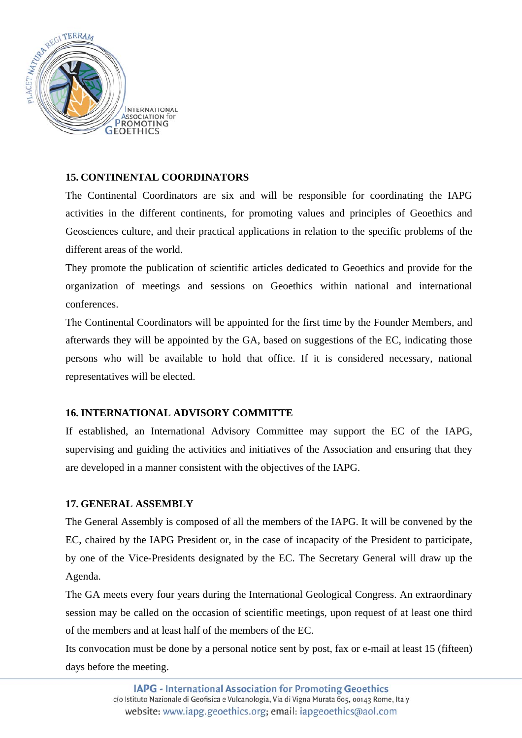

## **15. CONTINENTAL COORDINATORS**

The Continental Coordinators are six and will be responsible for coordinating the IAPG activities in the different continents, for promoting values and principles of Geoethics and Geosciences culture, and their practical applications in relation to the specific problems of the different areas of the world.

They promote the publication of scientific articles dedicated to Geoethics and provide for the organization of meetings and sessions on Geoethics within national and international conferences.

The Continental Coordinators will be appointed for the first time by the Founder Members, and afterwards they will be appointed by the GA, based on suggestions of the EC, indicating those persons who will be available to hold that office. If it is considered necessary, national representatives will be elected.

#### **16. INTERNATIONAL ADVISORY COMMITTE**

If established, an International Advisory Committee may support the EC of the IAPG, supervising and guiding the activities and initiatives of the Association and ensuring that they are developed in a manner consistent with the objectives of the IAPG.

#### **17. GENERAL ASSEMBLY**

The General Assembly is composed of all the members of the IAPG. It will be convened by the EC, chaired by the IAPG President or, in the case of incapacity of the President to participate, by one of the Vice-Presidents designated by the EC. The Secretary General will draw up the Agenda.

The GA meets every four years during the International Geological Congress. An extraordinary session may be called on the occasion of scientific meetings, upon request of at least one third of the members and at least half of the members of the EC.

Its convocation must be done by a personal notice sent by post, fax or e-mail at least 15 (fifteen) days before the meeting.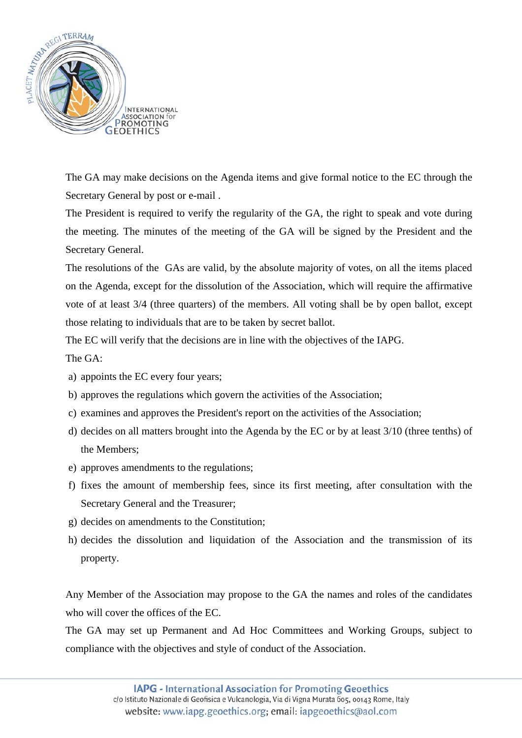

The GA may make decisions on the Agenda items and give formal notice to the EC through the Secretary General by post or e-mail .

The President is required to verify the regularity of the GA, the right to speak and vote during the meeting. The minutes of the meeting of the GA will be signed by the President and the Secretary General.

The resolutions of the GAs are valid, by the absolute majority of votes, on all the items placed on the Agenda, except for the dissolution of the Association, which will require the affirmative vote of at least 3/4 (three quarters) of the members. All voting shall be by open ballot, except those relating to individuals that are to be taken by secret ballot.

The EC will verify that the decisions are in line with the objectives of the IAPG.

The GA:

- a) appoints the EC every four years;
- b) approves the regulations which govern the activities of the Association;
- c) examines and approves the President's report on the activities of the Association;
- d) decides on all matters brought into the Agenda by the EC or by at least 3/10 (three tenths) of the Members;
- e) approves amendments to the regulations;
- f) fixes the amount of membership fees, since its first meeting, after consultation with the Secretary General and the Treasurer;
- g) decides on amendments to the Constitution;
- h) decides the dissolution and liquidation of the Association and the transmission of its property.

Any Member of the Association may propose to the GA the names and roles of the candidates who will cover the offices of the EC.

The GA may set up Permanent and Ad Hoc Committees and Working Groups, subject to compliance with the objectives and style of conduct of the Association.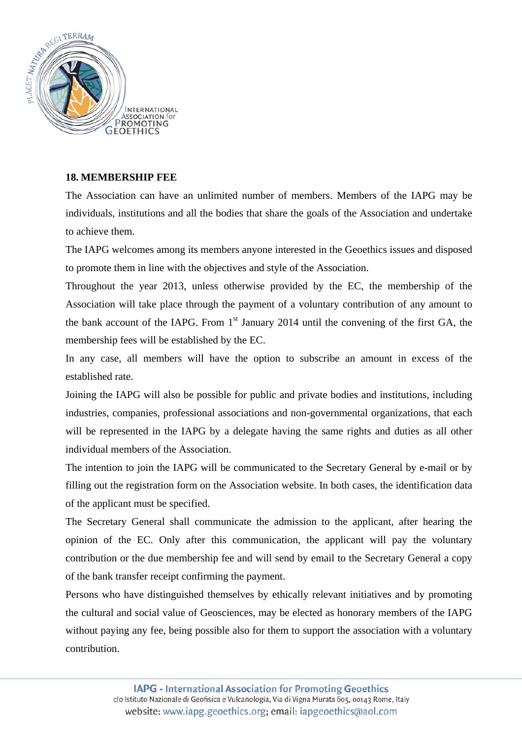

## **18. MEMBERSHIP FEE**

The Association can have an unlimited number of members. Members of the IAPG may be individuals, institutions and all the bodies that share the goals of the Association and undertake to achieve them.

The IAPG welcomes among its members anyone interested in the Geoethics issues and disposed to promote them in line with the objectives and style of the Association.

Throughout the year 2013, unless otherwise provided by the EC, the membership of the Association will take place through the payment of a voluntary contribution of any amount to the bank account of the IAPG. From  $1<sup>st</sup>$  January 2014 until the convening of the first GA, the membership fees will be established by the EC.

In any case, all members will have the option to subscribe an amount in excess of the established rate.

Joining the IAPG will also be possible for public and private bodies and institutions, including industries, companies, professional associations and non-governmental organizations, that each will be represented in the IAPG by a delegate having the same rights and duties as all other individual members of the Association.

The intention to join the IAPG will be communicated to the Secretary General by e-mail or by filling out the registration form on the Association website. In both cases, the identification data of the applicant must be specified.

The Secretary General shall communicate the admission to the applicant, after hearing the opinion of the EC. Only after this communication, the applicant will pay the voluntary contribution or the due membership fee and will send by email to the Secretary General a copy of the bank transfer receipt confirming the payment.

Persons who have distinguished themselves by ethically relevant initiatives and by promoting the cultural and social value of Geosciences, may be elected as honorary members of the IAPG without paying any fee, being possible also for them to support the association with a voluntary contribution.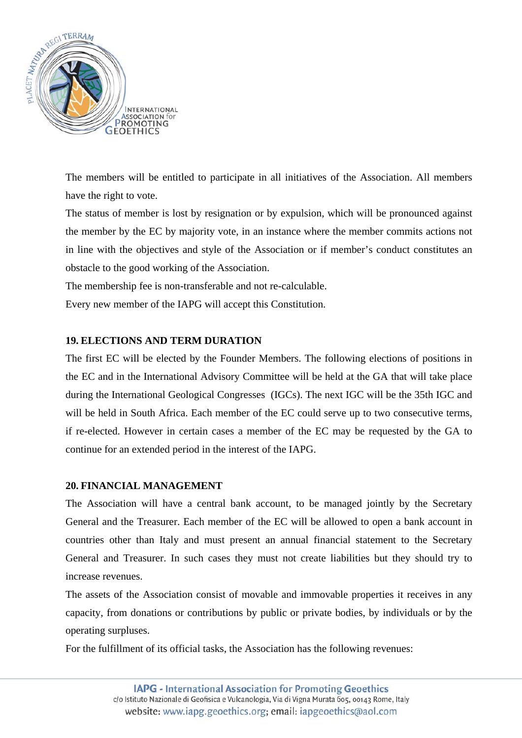

The members will be entitled to participate in all initiatives of the Association. All members have the right to vote.

The status of member is lost by resignation or by expulsion, which will be pronounced against the member by the EC by majority vote, in an instance where the member commits actions not in line with the objectives and style of the Association or if member's conduct constitutes an obstacle to the good working of the Association.

The membership fee is non-transferable and not re-calculable.

Every new member of the IAPG will accept this Constitution.

## **19. ELECTIONS AND TERM DURATION**

The first EC will be elected by the Founder Members. The following elections of positions in the EC and in the International Advisory Committee will be held at the GA that will take place during the International Geological Congresses (IGCs). The next IGC will be the 35th IGC and will be held in South Africa. Each member of the EC could serve up to two consecutive terms, if re-elected. However in certain cases a member of the EC may be requested by the GA to continue for an extended period in the interest of the IAPG.

#### **20. FINANCIAL MANAGEMENT**

The Association will have a central bank account, to be managed jointly by the Secretary General and the Treasurer. Each member of the EC will be allowed to open a bank account in countries other than Italy and must present an annual financial statement to the Secretary General and Treasurer. In such cases they must not create liabilities but they should try to increase revenues.

The assets of the Association consist of movable and immovable properties it receives in any capacity, from donations or contributions by public or private bodies, by individuals or by the operating surpluses.

For the fulfillment of its official tasks, the Association has the following revenues: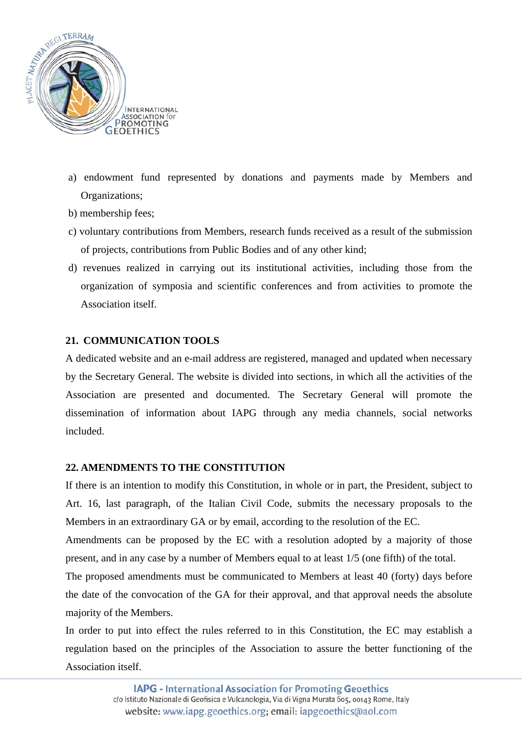

- a) endowment fund represented by donations and payments made by Members and Organizations;
- b) membership fees;
- c) voluntary contributions from Members, research funds received as a result of the submission of projects, contributions from Public Bodies and of any other kind;
- d) revenues realized in carrying out its institutional activities, including those from the organization of symposia and scientific conferences and from activities to promote the Association itself.

# **21. COMMUNICATION TOOLS**

A dedicated website and an e-mail address are registered, managed and updated when necessary by the Secretary General. The website is divided into sections, in which all the activities of the Association are presented and documented. The Secretary General will promote the dissemination of information about IAPG through any media channels, social networks included.

#### **22. AMENDMENTS TO THE CONSTITUTION**

If there is an intention to modify this Constitution, in whole or in part, the President, subject to Art. 16, last paragraph, of the Italian Civil Code, submits the necessary proposals to the Members in an extraordinary GA or by email, according to the resolution of the EC.

Amendments can be proposed by the EC with a resolution adopted by a majority of those present, and in any case by a number of Members equal to at least 1/5 (one fifth) of the total.

The proposed amendments must be communicated to Members at least 40 (forty) days before the date of the convocation of the GA for their approval, and that approval needs the absolute majority of the Members.

In order to put into effect the rules referred to in this Constitution, the EC may establish a regulation based on the principles of the Association to assure the better functioning of the Association itself.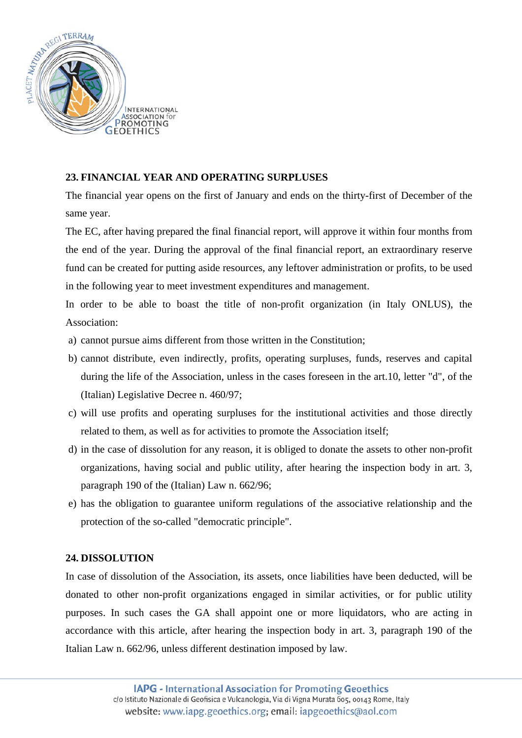

## **23. FINANCIAL YEAR AND OPERATING SURPLUSES**

The financial year opens on the first of January and ends on the thirty-first of December of the same year.

The EC, after having prepared the final financial report, will approve it within four months from the end of the year. During the approval of the final financial report, an extraordinary reserve fund can be created for putting aside resources, any leftover administration or profits, to be used in the following year to meet investment expenditures and management.

In order to be able to boast the title of non-profit organization (in Italy ONLUS), the Association:

- a) cannot pursue aims different from those written in the Constitution;
- b) cannot distribute, even indirectly, profits, operating surpluses, funds, reserves and capital during the life of the Association, unless in the cases foreseen in the art.10, letter "d", of the (Italian) Legislative Decree n. 460/97;
- c) will use profits and operating surpluses for the institutional activities and those directly related to them, as well as for activities to promote the Association itself;
- d) in the case of dissolution for any reason, it is obliged to donate the assets to other non-profit organizations, having social and public utility, after hearing the inspection body in art. 3, paragraph 190 of the (Italian) Law n. 662/96;
- e) has the obligation to guarantee uniform regulations of the associative relationship and the protection of the so-called "democratic principle".

#### **24. DISSOLUTION**

In case of dissolution of the Association, its assets, once liabilities have been deducted, will be donated to other non-profit organizations engaged in similar activities, or for public utility purposes. In such cases the GA shall appoint one or more liquidators, who are acting in accordance with this article, after hearing the inspection body in art. 3, paragraph 190 of the Italian Law n. 662/96, unless different destination imposed by law.